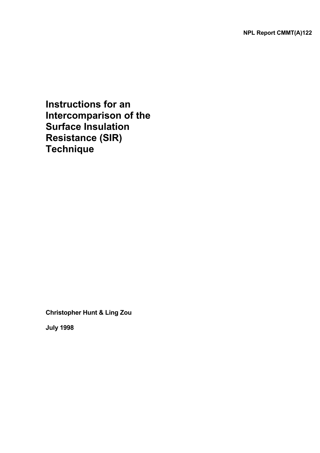**Instructions for an Intercomparison of the Surface Insulation Resistance (SIR) Technique** 

**Christopher Hunt & Ling Zou**

**July 1998**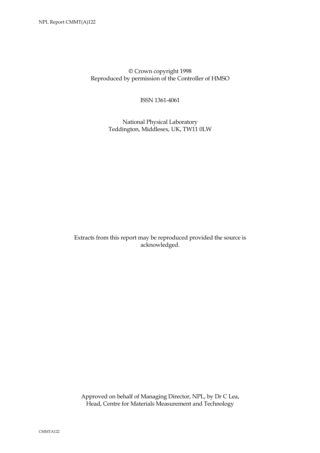© Crown copyright 1998 Reproduced by permission of the Controller of HMSO

ISSN 1361-4061

 National Physical Laboratory Teddington, Middlesex, UK, TW11 0LW

Extracts from this report may be reproduced provided the source is acknowledged.

 Approved on behalf of Managing Director, NPL, by Dr C Lea, Head, Centre for Materials Measurement and Technology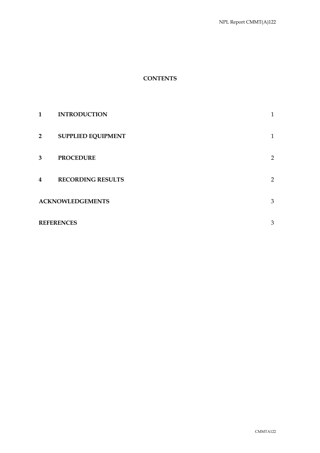## **CONTENTS**

| 1 | <b>INTRODUCTION</b>       | 1              |
|---|---------------------------|----------------|
| 2 | <b>SUPPLIED EQUIPMENT</b> | $\mathbf{1}$   |
| 3 | <b>PROCEDURE</b>          | $\overline{2}$ |
| 4 | <b>RECORDING RESULTS</b>  | $\overline{2}$ |
|   | <b>ACKNOWLEDGEMENTS</b>   | $\mathfrak{B}$ |
|   | <b>REFERENCES</b>         | 3              |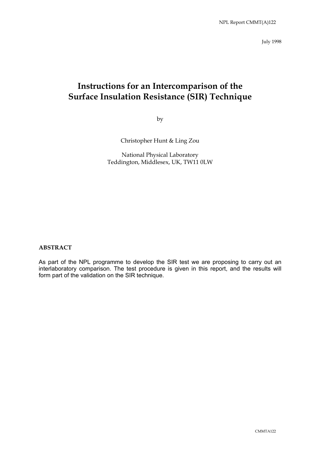July 1998

# **Instructions for an Intercomparison of the Surface Insulation Resistance (SIR) Technique**

by

Christopher Hunt & Ling Zou

National Physical Laboratory Teddington, Middlesex, UK, TW11 0LW

#### **ABSTRACT**

As part of the NPL programme to develop the SIR test we are proposing to carry out an interlaboratory comparison. The test procedure is given in this report, and the results will form part of the validation on the SIR technique.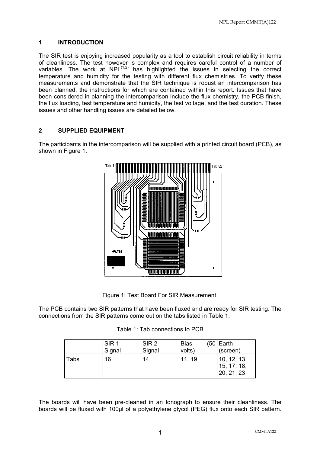## **1 INTRODUCTION**

The SIR test is enjoying increased popularity as a tool to establish circuit reliability in terms of cleanliness. The test however is complex and requires careful control of a number of variables. The work at  $NPL^{(1,2)}$  has highlighted the issues in selecting the correct temperature and humidity for the testing with different flux chemistries. To verify these measurements and demonstrate that the SIR technique is robust an intercomparison has been planned, the instructions for which are contained within this report. Issues that have been considered in planning the intercomparison include the flux chemistry, the PCB finish, the flux loading, test temperature and humidity, the test voltage, and the test duration. These issues and other handling issues are detailed below.

## **2 SUPPLIED EQUIPMENT**

The participants in the intercomparison will be supplied with a printed circuit board (PCB), as shown in Figure 1.



Figure 1: Test Board For SIR Measurement.

The PCB contains two SIR patterns that have been fluxed and are ready for SIR testing. The connections from the SIR patterns come out on the tabs listed in Table 1.

|  | Table 1: Tab connections to PCB |  |
|--|---------------------------------|--|
|--|---------------------------------|--|

|             | SIR <sub>1</sub> | SIR <sub>2</sub> | <b>Bias</b> | $(50 \mid \text{Earth})$                  |  |
|-------------|------------------|------------------|-------------|-------------------------------------------|--|
|             | Signal           | Signal           | volts)      | (screen)                                  |  |
| <b>Tabs</b> | 16               | 14               | 11, 19      | 10, 12, 13,<br>15, 17, 18,<br>120, 21, 23 |  |

The boards will have been pre-cleaned in an Ionograph to ensure their cleanliness. The boards will be fluxed with 100µl of a polyethylene glycol (PEG) flux onto each SIR pattern.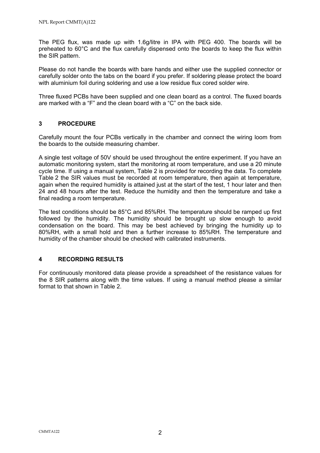The PEG flux, was made up with 1.6g/litre in IPA with PEG 400. The boards will be preheated to 60°C and the flux carefully dispensed onto the boards to keep the flux within the SIR pattern.

Please do not handle the boards with bare hands and either use the supplied connector or carefully solder onto the tabs on the board if you prefer. If soldering please protect the board with aluminium foil during soldering and use a low residue flux cored solder wire.

Three fluxed PCBs have been supplied and one clean board as a control. The fluxed boards are marked with a "F" and the clean board with a "C" on the back side.

## **3 PROCEDURE**

Carefully mount the four PCBs vertically in the chamber and connect the wiring loom from the boards to the outside measuring chamber.

A single test voltage of 50V should be used throughout the entire experiment. If you have an automatic monitoring system, start the monitoring at room temperature, and use a 20 minute cycle time. If using a manual system, Table 2 is provided for recording the data. To complete Table 2 the SIR values must be recorded at room temperature, then again at temperature, again when the required humidity is attained just at the start of the test, 1 hour later and then 24 and 48 hours after the test. Reduce the humidity and then the temperature and take a final reading a room temperature.

The test conditions should be 85°C and 85%RH. The temperature should be ramped up first followed by the humidity. The humidity should be brought up slow enough to avoid condensation on the board. This may be best achieved by bringing the humidity up to 80%RH, with a small hold and then a further increase to 85%RH. The temperature and humidity of the chamber should be checked with calibrated instruments.

#### **4 RECORDING RESULTS**

For continuously monitored data please provide a spreadsheet of the resistance values for the 8 SIR patterns along with the time values. If using a manual method please a similar format to that shown in Table 2.